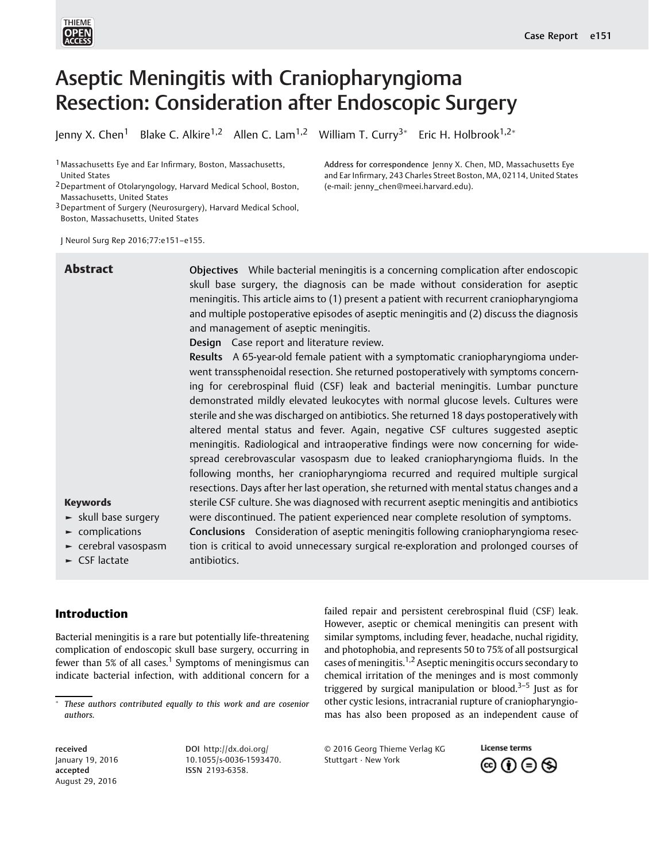

# Aseptic Meningitis with Craniopharyngioma Resection: Consideration after Endoscopic Surgery

Jenny X. Chen<sup>1</sup> Blake C. Alkire<sup>1,2</sup> Allen C. Lam<sup>1,2</sup> William T. Curry<sup>3\*</sup> Eric H. Holbrook<sup>1,2\*</sup>

<sup>1</sup> Massachusetts Eye and Ear Infirmary, Boston, Massachusetts, United States

3Department of Surgery (Neurosurgery), Harvard Medical School, Boston, Massachusetts, United States

J Neurol Surg Rep 2016;77:e151–e155.

| <b>Abstract</b>                                                                                                                                | Objectives While bacterial meningitis is a concerning complication after endoscopic<br>skull base surgery, the diagnosis can be made without consideration for aseptic<br>meningitis. This article aims to (1) present a patient with recurrent craniopharyngioma<br>and multiple postoperative episodes of aseptic meningitis and (2) discuss the diagnosis<br>and management of aseptic meningitis.<br>Design Case report and literature review.                                                                                                                                                                                                                                                                                                                                                                                                                                                                                                                                                                                                                                                                                                                                                                                                      |
|------------------------------------------------------------------------------------------------------------------------------------------------|---------------------------------------------------------------------------------------------------------------------------------------------------------------------------------------------------------------------------------------------------------------------------------------------------------------------------------------------------------------------------------------------------------------------------------------------------------------------------------------------------------------------------------------------------------------------------------------------------------------------------------------------------------------------------------------------------------------------------------------------------------------------------------------------------------------------------------------------------------------------------------------------------------------------------------------------------------------------------------------------------------------------------------------------------------------------------------------------------------------------------------------------------------------------------------------------------------------------------------------------------------|
| <b>Keywords</b><br>$\blacktriangleright$ skull base surgery<br>$\blacktriangleright$ complications<br>$\blacktriangleright$ cerebral vasospasm | Results A 65-year-old female patient with a symptomatic craniopharyngioma under-<br>went transsphenoidal resection. She returned postoperatively with symptoms concern-<br>ing for cerebrospinal fluid (CSF) leak and bacterial meningitis. Lumbar puncture<br>demonstrated mildly elevated leukocytes with normal glucose levels. Cultures were<br>sterile and she was discharged on antibiotics. She returned 18 days postoperatively with<br>altered mental status and fever. Again, negative CSF cultures suggested aseptic<br>meningitis. Radiological and intraoperative findings were now concerning for wide-<br>spread cerebrovascular vasospasm due to leaked craniopharyngioma fluids. In the<br>following months, her craniopharyngioma recurred and required multiple surgical<br>resections. Days after her last operation, she returned with mental status changes and a<br>sterile CSF culture. She was diagnosed with recurrent aseptic meningitis and antibiotics<br>were discontinued. The patient experienced near complete resolution of symptoms.<br>Conclusions Consideration of aseptic meningitis following craniopharyngioma resec-<br>tion is critical to avoid unnecessary surgical re-exploration and prolonged courses of |
| $\triangleright$ CSF lactate                                                                                                                   | antibiotics.                                                                                                                                                                                                                                                                                                                                                                                                                                                                                                                                                                                                                                                                                                                                                                                                                                                                                                                                                                                                                                                                                                                                                                                                                                            |

### Introduction

Bacterial meningitis is a rare but potentially life-threatening complication of endoscopic skull base surgery, occurring in fewer than 5% of all cases.<sup>1</sup> Symptoms of meningismus can indicate bacterial infection, with additional concern for a

received January 19, 2016 accepted August 29, 2016

DOI [http://dx.doi.org/](http://dx.doi.org/10.1055/s-0036-1593470) [10.1055/s-0036-1593470](http://dx.doi.org/10.1055/s-0036-1593470). ISSN 2193-6358.

failed repair and persistent cerebrospinal fluid (CSF) leak. However, aseptic or chemical meningitis can present with similar symptoms, including fever, headache, nuchal rigidity, and photophobia, and represents 50 to 75% of all postsurgical cases of meningitis.1,2 Aseptic meningitis occurs secondary to chemical irritation of the meninges and is most commonly triggered by surgical manipulation or blood.<sup>3–5</sup> Just as for other cystic lesions, intracranial rupture of craniopharyngiomas has also been proposed as an independent cause of

Address for correspondence Jenny X. Chen, MD, Massachusetts Eye and Ear Infirmary, 243 Charles Street Boston, MA, 02114, United States

(e-mail: [jenny\\_chen@meei.harvard.edu](mailto:jenny_chen@meei.harvard.edu)).

© 2016 Georg Thieme Verlag KG Stuttgart · New York



<sup>2</sup>Department of Otolaryngology, Harvard Medical School, Boston, Massachusetts, United States

These authors contributed equally to this work and are cosenior authors.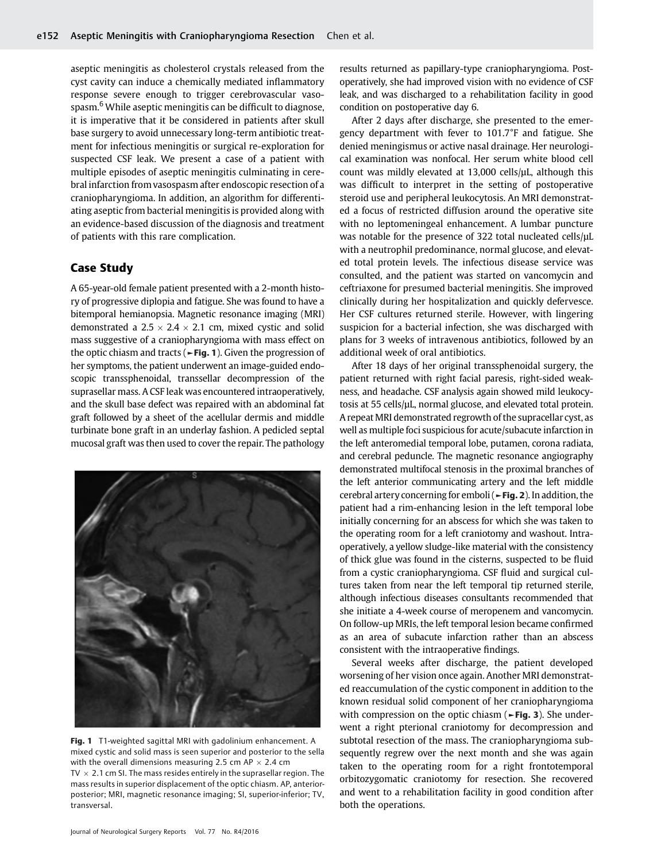aseptic meningitis as cholesterol crystals released from the cyst cavity can induce a chemically mediated inflammatory response severe enough to trigger cerebrovascular vasospasm.<sup>6</sup> While aseptic meningitis can be difficult to diagnose, it is imperative that it be considered in patients after skull base surgery to avoid unnecessary long-term antibiotic treatment for infectious meningitis or surgical re-exploration for suspected CSF leak. We present a case of a patient with multiple episodes of aseptic meningitis culminating in cerebral infarction from vasospasm after endoscopic resection of a craniopharyngioma. In addition, an algorithm for differentiating aseptic from bacterial meningitis is provided along with an evidence-based discussion of the diagnosis and treatment of patients with this rare complication.

## Case Study

A 65-year-old female patient presented with a 2-month history of progressive diplopia and fatigue. She was found to have a bitemporal hemianopsia. Magnetic resonance imaging (MRI) demonstrated a  $2.5 \times 2.4 \times 2.1$  cm, mixed cystic and solid mass suggestive of a craniopharyngioma with mass effect on the optic chiasm and tracts ( $\blacktriangleright$  Fig. 1). Given the progression of her symptoms, the patient underwent an image-guided endoscopic transsphenoidal, transsellar decompression of the suprasellar mass. A CSF leak was encountered intraoperatively, and the skull base defect was repaired with an abdominal fat graft followed by a sheet of the acellular dermis and middle turbinate bone graft in an underlay fashion. A pedicled septal mucosal graft was then used to cover the repair. The pathology



Fig. 1 T1-weighted sagittal MRI with gadolinium enhancement. A mixed cystic and solid mass is seen superior and posterior to the sella with the overall dimensions measuring 2.5 cm AP  $\times$  2.4 cm TV  $\times$  2.1 cm SI. The mass resides entirely in the suprasellar region. The mass results in superior displacement of the optic chiasm. AP, anteriorposterior; MRI, magnetic resonance imaging; SI, superior-inferior; TV, transversal.

results returned as papillary-type craniopharyngioma. Postoperatively, she had improved vision with no evidence of CSF leak, and was discharged to a rehabilitation facility in good condition on postoperative day 6.

After 2 days after discharge, she presented to the emergency department with fever to 101.7°F and fatigue. She denied meningismus or active nasal drainage. Her neurological examination was nonfocal. Her serum white blood cell count was mildly elevated at 13,000 cells/μL, although this was difficult to interpret in the setting of postoperative steroid use and peripheral leukocytosis. An MRI demonstrated a focus of restricted diffusion around the operative site with no leptomeningeal enhancement. A lumbar puncture was notable for the presence of 322 total nucleated cells/μL with a neutrophil predominance, normal glucose, and elevated total protein levels. The infectious disease service was consulted, and the patient was started on vancomycin and ceftriaxone for presumed bacterial meningitis. She improved clinically during her hospitalization and quickly defervesce. Her CSF cultures returned sterile. However, with lingering suspicion for a bacterial infection, she was discharged with plans for 3 weeks of intravenous antibiotics, followed by an additional week of oral antibiotics.

After 18 days of her original transsphenoidal surgery, the patient returned with right facial paresis, right-sided weakness, and headache. CSF analysis again showed mild leukocytosis at 55 cells/μL, normal glucose, and elevated total protein. A repeat MRI demonstrated regrowth of the supracellar cyst, as well as multiple foci suspicious for acute/subacute infarction in the left anteromedial temporal lobe, putamen, corona radiata, and cerebral peduncle. The magnetic resonance angiography demonstrated multifocal stenosis in the proximal branches of the left anterior communicating artery and the left middle cerebral artery concerning for emboli (►Fig. 2). In addition, the patient had a rim-enhancing lesion in the left temporal lobe initially concerning for an abscess for which she was taken to the operating room for a left craniotomy and washout. Intraoperatively, a yellow sludge-like material with the consistency of thick glue was found in the cisterns, suspected to be fluid from a cystic craniopharyngioma. CSF fluid and surgical cultures taken from near the left temporal tip returned sterile, although infectious diseases consultants recommended that she initiate a 4-week course of meropenem and vancomycin. On follow-up MRIs, the left temporal lesion became confirmed as an area of subacute infarction rather than an abscess consistent with the intraoperative findings.

Several weeks after discharge, the patient developed worsening of her vision once again. Another MRI demonstrated reaccumulation of the cystic component in addition to the known residual solid component of her craniopharyngioma with compression on the optic chiasm ( $\blacktriangleright$ Fig. 3). She underwent a right pterional craniotomy for decompression and subtotal resection of the mass. The craniopharyngioma subsequently regrew over the next month and she was again taken to the operating room for a right frontotemporal orbitozygomatic craniotomy for resection. She recovered and went to a rehabilitation facility in good condition after both the operations.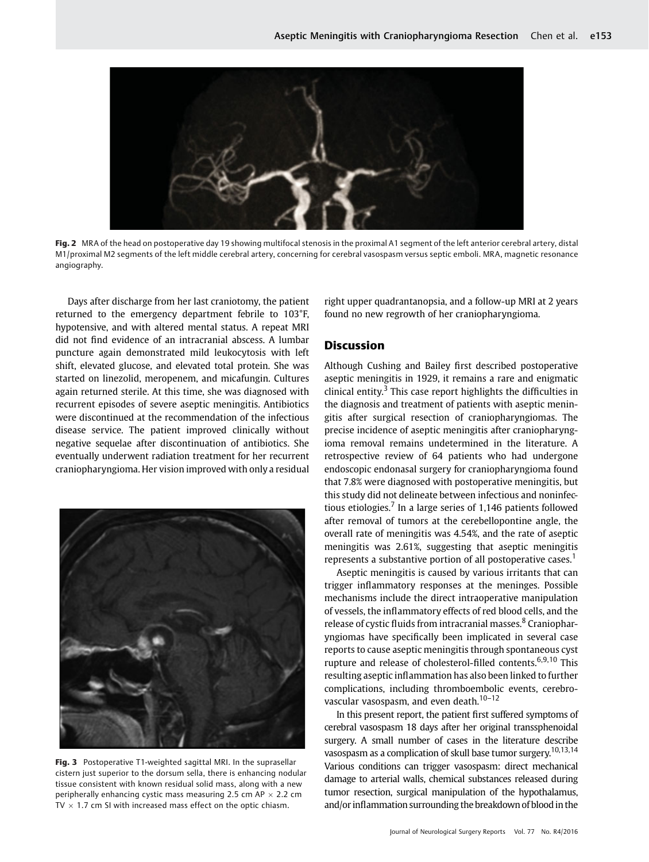

Fig. 2 MRA of the head on postoperative day 19 showing multifocal stenosis in the proximal A1 segment of the left anterior cerebral artery, distal M1/proximal M2 segments of the left middle cerebral artery, concerning for cerebral vasospasm versus septic emboli. MRA, magnetic resonance angiography.

Days after discharge from her last craniotomy, the patient returned to the emergency department febrile to 103°F, hypotensive, and with altered mental status. A repeat MRI did not find evidence of an intracranial abscess. A lumbar puncture again demonstrated mild leukocytosis with left shift, elevated glucose, and elevated total protein. She was started on linezolid, meropenem, and micafungin. Cultures again returned sterile. At this time, she was diagnosed with recurrent episodes of severe aseptic meningitis. Antibiotics were discontinued at the recommendation of the infectious disease service. The patient improved clinically without negative sequelae after discontinuation of antibiotics. She eventually underwent radiation treatment for her recurrent craniopharyngioma. Her vision improved with only a residual



Fig. 3 Postoperative T1-weighted sagittal MRI. In the suprasellar cistern just superior to the dorsum sella, there is enhancing nodular tissue consistent with known residual solid mass, along with a new peripherally enhancing cystic mass measuring 2.5 cm AP  $\times$  2.2 cm TV  $\times$  1.7 cm SI with increased mass effect on the optic chiasm.

right upper quadrantanopsia, and a follow-up MRI at 2 years found no new regrowth of her craniopharyngioma.

#### **Discussion**

Although Cushing and Bailey first described postoperative aseptic meningitis in 1929, it remains a rare and enigmatic clinical entity.<sup>3</sup> This case report highlights the difficulties in the diagnosis and treatment of patients with aseptic meningitis after surgical resection of craniopharyngiomas. The precise incidence of aseptic meningitis after craniopharyngioma removal remains undetermined in the literature. A retrospective review of 64 patients who had undergone endoscopic endonasal surgery for craniopharyngioma found that 7.8% were diagnosed with postoperative meningitis, but this study did not delineate between infectious and noninfectious etiologies.<sup>7</sup> In a large series of 1,146 patients followed after removal of tumors at the cerebellopontine angle, the overall rate of meningitis was 4.54%, and the rate of aseptic meningitis was 2.61%, suggesting that aseptic meningitis represents a substantive portion of all postoperative cases.<sup>1</sup>

Aseptic meningitis is caused by various irritants that can trigger inflammatory responses at the meninges. Possible mechanisms include the direct intraoperative manipulation of vessels, the inflammatory effects of red blood cells, and the release of cystic fluids from intracranial masses.<sup>8</sup> Craniopharyngiomas have specifically been implicated in several case reports to cause aseptic meningitis through spontaneous cyst rupture and release of cholesterol-filled contents.<sup>6,9,10</sup> This resulting aseptic inflammation has also been linked to further complications, including thromboembolic events, cerebrovascular vasospasm, and even death.<sup>10-12</sup>

In this present report, the patient first suffered symptoms of cerebral vasospasm 18 days after her original transsphenoidal surgery. A small number of cases in the literature describe vasospasm as a complication of skull base tumor surgery.10,13,14 Various conditions can trigger vasospasm: direct mechanical damage to arterial walls, chemical substances released during tumor resection, surgical manipulation of the hypothalamus, and/or inflammation surrounding the breakdown of blood in the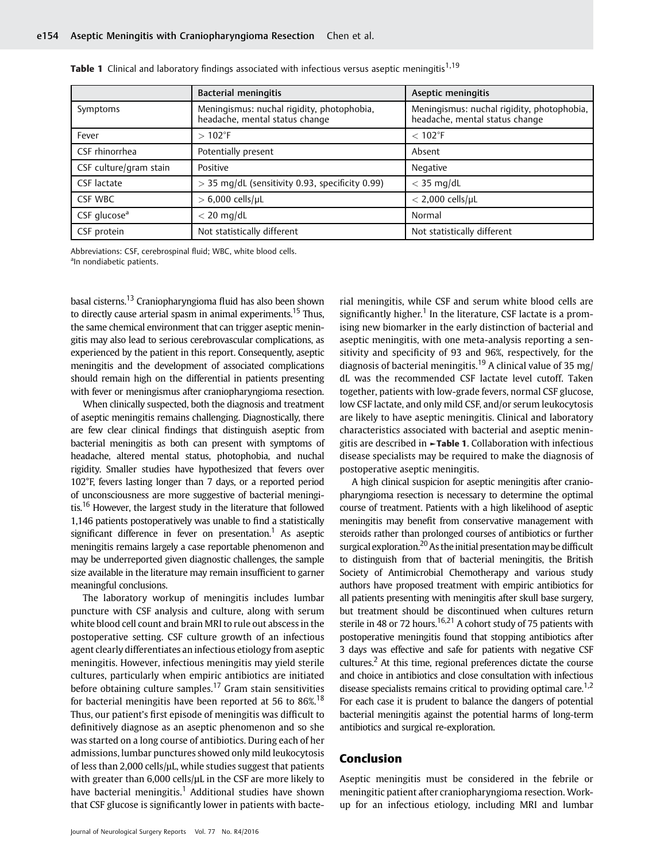|                          | <b>Bacterial meningitis</b>                                                  | Aseptic meningitis                                                           |
|--------------------------|------------------------------------------------------------------------------|------------------------------------------------------------------------------|
| Symptoms                 | Meningismus: nuchal rigidity, photophobia,<br>headache, mental status change | Meningismus: nuchal rigidity, photophobia,<br>headache, mental status change |
| Fever                    | $>102$ °F                                                                    | $< 102$ °F                                                                   |
| CSF rhinorrhea           | Potentially present                                                          | Absent                                                                       |
| CSF culture/gram stain   | Positive                                                                     | Negative                                                                     |
| CSF lactate              | > 35 mg/dL (sensitivity 0.93, specificity 0.99)                              | $<$ 35 mg/dL                                                                 |
| CSF WBC                  | $> 6,000$ cells/µL                                                           | $<$ 2,000 cells/µL                                                           |
| CSF glucose <sup>a</sup> | $<$ 20 mg/dL                                                                 | Normal                                                                       |
| CSF protein              | Not statistically different                                                  | Not statistically different                                                  |

|  |  | Table 1 Clinical and laboratory findings associated with infectious versus aseptic meningitis <sup>1,19</sup> |  |  |  |  |
|--|--|---------------------------------------------------------------------------------------------------------------|--|--|--|--|
|  |  |                                                                                                               |  |  |  |  |

Abbreviations: CSF, cerebrospinal fluid; WBC, white blood cells. <sup>a</sup>In nondiabetic patients.

basal cisterns.<sup>13</sup> Craniopharyngioma fluid has also been shown to directly cause arterial spasm in animal experiments.<sup>15</sup> Thus, the same chemical environment that can trigger aseptic meningitis may also lead to serious cerebrovascular complications, as experienced by the patient in this report. Consequently, aseptic meningitis and the development of associated complications should remain high on the differential in patients presenting with fever or meningismus after craniopharyngioma resection.

When clinically suspected, both the diagnosis and treatment of aseptic meningitis remains challenging. Diagnostically, there are few clear clinical findings that distinguish aseptic from bacterial meningitis as both can present with symptoms of headache, altered mental status, photophobia, and nuchal rigidity. Smaller studies have hypothesized that fevers over 102°F, fevers lasting longer than 7 days, or a reported period of unconsciousness are more suggestive of bacterial meningitis.<sup>16</sup> However, the largest study in the literature that followed 1,146 patients postoperatively was unable to find a statistically significant difference in fever on presentation.<sup>1</sup> As aseptic meningitis remains largely a case reportable phenomenon and may be underreported given diagnostic challenges, the sample size available in the literature may remain insufficient to garner meaningful conclusions.

The laboratory workup of meningitis includes lumbar puncture with CSF analysis and culture, along with serum white blood cell count and brain MRI to rule out abscess in the postoperative setting. CSF culture growth of an infectious agent clearly differentiates an infectious etiology from aseptic meningitis. However, infectious meningitis may yield sterile cultures, particularly when empiric antibiotics are initiated before obtaining culture samples.<sup>17</sup> Gram stain sensitivities for bacterial meningitis have been reported at 56 to 86%.<sup>18</sup> Thus, our patient's first episode of meningitis was difficult to definitively diagnose as an aseptic phenomenon and so she was started on a long course of antibiotics. During each of her admissions, lumbar punctures showed only mild leukocytosis of less than 2,000 cells/μL, while studies suggest that patients with greater than 6,000 cells/uL in the CSF are more likely to have bacterial meningitis.<sup>1</sup> Additional studies have shown that CSF glucose is significantly lower in patients with bacterial meningitis, while CSF and serum white blood cells are significantly higher.<sup>1</sup> In the literature, CSF lactate is a promising new biomarker in the early distinction of bacterial and aseptic meningitis, with one meta-analysis reporting a sensitivity and specificity of 93 and 96%, respectively, for the diagnosis of bacterial meningitis.<sup>19</sup> A clinical value of 35 mg/ dL was the recommended CSF lactate level cutoff. Taken together, patients with low-grade fevers, normal CSF glucose, low CSF lactate, and only mild CSF, and/or serum leukocytosis are likely to have aseptic meningitis. Clinical and laboratory characteristics associated with bacterial and aseptic meningitis are described in ►Table 1. Collaboration with infectious disease specialists may be required to make the diagnosis of postoperative aseptic meningitis.

A high clinical suspicion for aseptic meningitis after craniopharyngioma resection is necessary to determine the optimal course of treatment. Patients with a high likelihood of aseptic meningitis may benefit from conservative management with steroids rather than prolonged courses of antibiotics or further surgical exploration.<sup>20</sup> As the initial presentation may be difficult to distinguish from that of bacterial meningitis, the British Society of Antimicrobial Chemotherapy and various study authors have proposed treatment with empiric antibiotics for all patients presenting with meningitis after skull base surgery, but treatment should be discontinued when cultures return sterile in 48 or 72 hours.<sup>16,21</sup> A cohort study of 75 patients with postoperative meningitis found that stopping antibiotics after 3 days was effective and safe for patients with negative CSF cultures.<sup>2</sup> At this time, regional preferences dictate the course and choice in antibiotics and close consultation with infectious disease specialists remains critical to providing optimal care.<sup>1,2</sup> For each case it is prudent to balance the dangers of potential bacterial meningitis against the potential harms of long-term antibiotics and surgical re-exploration.

#### Conclusion

Aseptic meningitis must be considered in the febrile or meningitic patient after craniopharyngioma resection. Workup for an infectious etiology, including MRI and lumbar